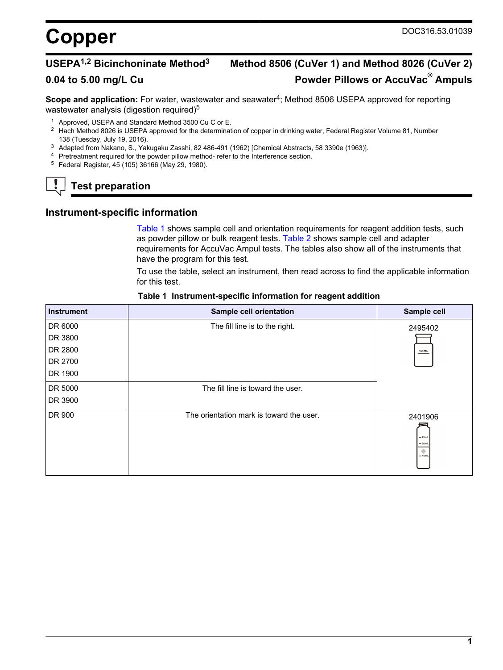# **USEPA1,2 Bicinchoninate Method<sup>3</sup> Method 8506 (CuVer 1) and Method 8026 (CuVer 2) 0.04 to 5.00 mg/L Cu Powder Pillows or AccuVac® Ampuls**

**Scope and application:** For water, wastewater and seawater<sup>4</sup>; Method 8506 USEPA approved for reporting wastewater analysis (digestion required)<sup>5</sup>

- <sup>1</sup> Approved, USEPA and Standard Method 3500 Cu C or E.
- <sup>2</sup> Hach Method 8026 is USEPA approved for the determination of copper in drinking water, Federal Register Volume 81, Number 138 (Tuesday, July 19, 2016).
- <sup>3</sup> Adapted from Nakano, S., Yakugaku Zasshi, 82 486-491 (1962) [Chemical Abstracts, 58 3390e (1963)].
- <sup>4</sup> Pretreatment required for the powder pillow method- refer to the Interference section.
- <sup>5</sup> Federal Register, 45 (105) 36166 (May 29, 1980).

## **Test preparation**

### **Instrument-specific information**

[Table 1](#page-0-0) shows sample cell and orientation requirements for reagent addition tests, such as powder pillow or bulk reagent tests. [Table 2](#page-1-0) shows sample cell and adapter requirements for AccuVac Ampul tests. The tables also show all of the instruments that have the program for this test.

To use the table, select an instrument, then read across to find the applicable information for this test.

<span id="page-0-1"></span><span id="page-0-0"></span>

| <b>Instrument</b> | Sample cell orientation                  | Sample cell                                        |
|-------------------|------------------------------------------|----------------------------------------------------|
| DR 6000           | The fill line is to the right.           | 2495402                                            |
| DR 3800           |                                          |                                                    |
| DR 2800           |                                          | $10$ mL                                            |
| DR 2700           |                                          |                                                    |
| DR 1900           |                                          |                                                    |
| DR 5000           | The fill line is toward the user.        |                                                    |
| DR 3900           |                                          |                                                    |
| DR 900            | The orientation mark is toward the user. | 2401906<br>$-25$ mL<br>$= 20$ mL<br>۰<br>$= 10$ mL |

#### **Table 1 Instrument-specific information for reagent addition**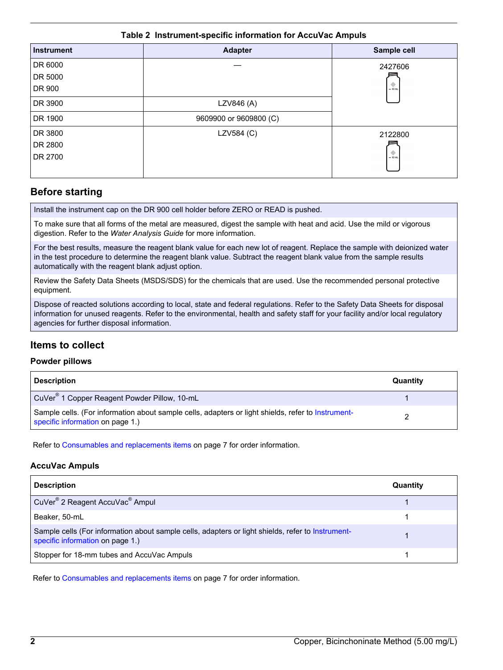### **Table 2 Instrument-specific information for AccuVac Ampuls**

<span id="page-1-0"></span>

| <b>Instrument</b> | <b>Adapter</b>         | Sample cell |
|-------------------|------------------------|-------------|
| DR 6000           |                        | 2427606     |
| DR 5000           |                        |             |
| DR 900            |                        | $= 10$ mL   |
| DR 3900           | LZV846 (A)             |             |
| DR 1900           | 9609900 or 9609800 (C) |             |
| DR 3800           | LZV584 (C)             | 2122800     |
| DR 2800           |                        |             |
| DR 2700           |                        | $= 10$ mL   |

## **Before starting**

Install the instrument cap on the DR 900 cell holder before ZERO or READ is pushed.

To make sure that all forms of the metal are measured, digest the sample with heat and acid. Use the mild or vigorous digestion. Refer to the *Water Analysis Guide* for more information.

For the best results, measure the reagent blank value for each new lot of reagent. Replace the sample with deionized water in the test procedure to determine the reagent blank value. Subtract the reagent blank value from the sample results automatically with the reagent blank adjust option.

Review the Safety Data Sheets (MSDS/SDS) for the chemicals that are used. Use the recommended personal protective equipment.

Dispose of reacted solutions according to local, state and federal regulations. Refer to the Safety Data Sheets for disposal information for unused reagents. Refer to the environmental, health and safety staff for your facility and/or local regulatory agencies for further disposal information.

## **Items to collect**

### **Powder pillows**

| <b>Description</b>                                                                                                                     | Quantity |
|----------------------------------------------------------------------------------------------------------------------------------------|----------|
| CuVer <sup>®</sup> 1 Copper Reagent Powder Pillow, 10-mL                                                                               |          |
| Sample cells. (For information about sample cells, adapters or light shields, refer to Instrument-<br>specific information on page 1.) |          |

Refer to [Consumables and replacements items](#page-6-0) on page 7 for order information.

## **AccuVac Ampuls**

| <b>Description</b>                                                                                                                    | Quantity |
|---------------------------------------------------------------------------------------------------------------------------------------|----------|
| CuVer <sup>®</sup> 2 Reagent AccuVac <sup>®</sup> Ampul                                                                               |          |
| Beaker, 50-mL                                                                                                                         |          |
| Sample cells (For information about sample cells, adapters or light shields, refer to Instrument-<br>specific information on page 1.) |          |
| Stopper for 18-mm tubes and AccuVac Ampuls                                                                                            |          |

Refer to [Consumables and replacements items](#page-6-0) on page 7 for order information.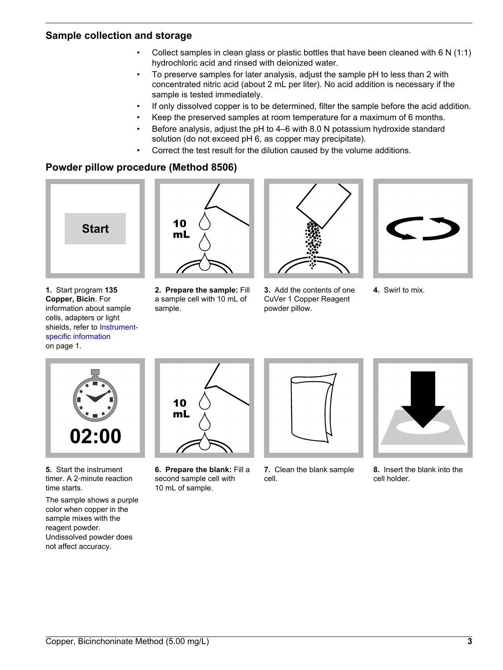## **Sample collection and storage**

- Collect samples in clean glass or plastic bottles that have been cleaned with 6 N (1:1) hydrochloric acid and rinsed with deionized water.
- To preserve samples for later analysis, adjust the sample pH to less than 2 with concentrated nitric acid (about 2 mL per liter). No acid addition is necessary if the sample is tested immediately.
- If only dissolved copper is to be determined, filter the sample before the acid addition.
- Keep the preserved samples at room temperature for a maximum of 6 months.
- Before analysis, adjust the pH to 4–6 with 8.0 N potassium hydroxide standard solution (do not exceed pH 6, as copper may precipitate).
- Correct the test result for the dilution caused by the volume additions.

## **Powder pillow procedure (Method 8506)**

<span id="page-2-0"></span>

**1.** Start program **135 Copper, Bicin**. For information about sample cells, adapters or light shields, refer to [Instrument](#page-0-1)[specific information](#page-0-1) on page 1.



**2. Prepare the sample:** Fill a sample cell with 10 mL of sample.



**3.** Add the contents of one CuVer 1 Copper Reagent powder pillow.



**4.** Swirl to mix.



**5.** Start the instrument timer. A 2‑minute reaction time starts.

The sample shows a purple color when copper in the sample mixes with the reagent powder. Undissolved powder does not affect accuracy.



**6. Prepare the blank:** Fill a second sample cell with 10 mL of sample.



**7.** Clean the blank sample cell.



**8.** Insert the blank into the cell holder.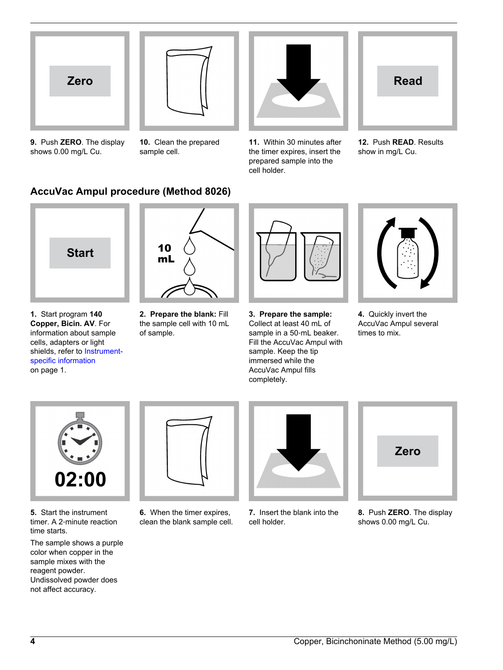



**9.** Push **ZERO**. The display shows 0.00 mg/L Cu.

**10.** Clean the prepared sample cell.



**11.** Within 30 minutes after the timer expires, insert the prepared sample into the cell holder.



**12.** Push **READ**. Results show in mg/L Cu.

## **AccuVac Ampul procedure (Method 8026)**



**1.** Start program **140 Copper, Bicin. AV**. For information about sample cells, adapters or light shields, refer to [Instrument](#page-0-1)[specific information](#page-0-1) on page 1.



**2. Prepare the blank:** Fill the sample cell with 10 mL of sample.



**3. Prepare the sample:** Collect at least 40 mL of sample in a 50‑mL beaker. Fill the AccuVac Ampul with sample. Keep the tip immersed while the AccuVac Ampul fills completely.



**4.** Quickly invert the AccuVac Ampul several times to mix.



**5.** Start the instrument timer. A 2‑minute reaction time starts.

The sample shows a purple color when copper in the sample mixes with the reagent powder. Undissolved powder does not affect accuracy.



**6.** When the timer expires, clean the blank sample cell.



**7.** Insert the blank into the cell holder.



**8.** Push **ZERO**. The display shows 0.00 mg/L Cu.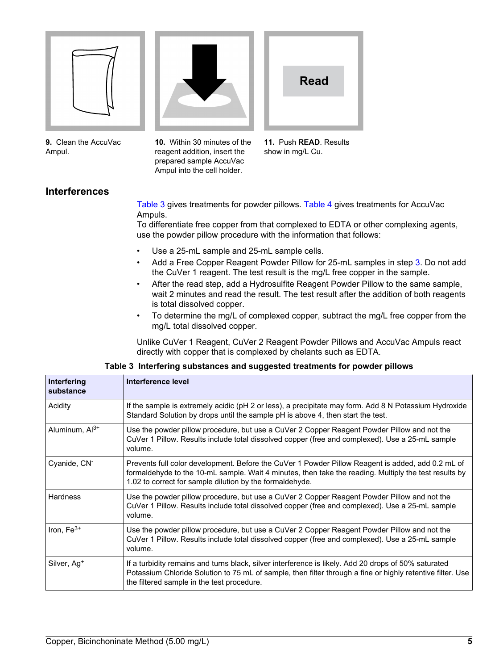<span id="page-4-0"></span>

**9.** Clean the AccuVac Ampul.



**10.** Within 30 minutes of the reagent addition, insert the prepared sample AccuVac Ampul into the cell holder.



**11.** Push **READ**. Results show in mg/L Cu.

## **Interferences**

[Table 3](#page-4-0) gives treatments for powder pillows. [Table 4](#page-5-0) gives treatments for AccuVac Ampuls.

To differentiate free copper from that complexed to EDTA or other complexing agents, use the powder pillow procedure with the information that follows:

- Use a 25-mL sample and 25-mL sample cells.
- Add a Free Copper Reagent Powder Pillow for 25-mL samples in step [3](#page-2-0). Do not add the CuVer 1 reagent. The test result is the mg/L free copper in the sample.
- After the read step, add a Hydrosulfite Reagent Powder Pillow to the same sample, wait 2 minutes and read the result. The test result after the addition of both reagents is total dissolved copper.
- To determine the mg/L of complexed copper, subtract the mg/L free copper from the mg/L total dissolved copper.

Unlike CuVer 1 Reagent, CuVer 2 Reagent Powder Pillows and AccuVac Ampuls react directly with copper that is complexed by chelants such as EDTA.

| Interfering<br>substance   | Interference level                                                                                                                                                                                                                                                     |
|----------------------------|------------------------------------------------------------------------------------------------------------------------------------------------------------------------------------------------------------------------------------------------------------------------|
| Acidity                    | If the sample is extremely acidic (pH 2 or less), a precipitate may form. Add 8 N Potassium Hydroxide<br>Standard Solution by drops until the sample pH is above 4, then start the test.                                                                               |
| Aluminum, Al <sup>3+</sup> | Use the powder pillow procedure, but use a CuVer 2 Copper Reagent Powder Pillow and not the<br>CuVer 1 Pillow. Results include total dissolved copper (free and complexed). Use a 25-mL sample<br>volume.                                                              |
| Cyanide, CN <sup>-</sup>   | Prevents full color development. Before the CuVer 1 Powder Pillow Reagent is added, add 0.2 mL of<br>formaldehyde to the 10-mL sample. Wait 4 minutes, then take the reading. Multiply the test results by<br>1.02 to correct for sample dilution by the formaldehyde. |
| <b>Hardness</b>            | Use the powder pillow procedure, but use a CuVer 2 Copper Reagent Powder Pillow and not the<br>CuVer 1 Pillow. Results include total dissolved copper (free and complexed). Use a 25-mL sample<br>volume.                                                              |
| Iron, $Fe3+$               | Use the powder pillow procedure, but use a CuVer 2 Copper Reagent Powder Pillow and not the<br>CuVer 1 Pillow. Results include total dissolved copper (free and complexed). Use a 25-mL sample<br>volume.                                                              |
| Silver, Ag <sup>+</sup>    | If a turbidity remains and turns black, silver interference is likely. Add 20 drops of 50% saturated<br>Potassium Chloride Solution to 75 mL of sample, then filter through a fine or highly retentive filter. Use<br>the filtered sample in the test procedure.       |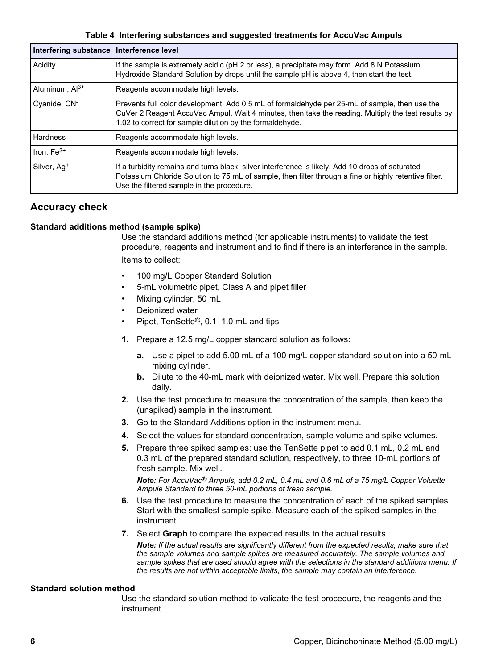<span id="page-5-0"></span>

| Table 4 Interfering substances and suggested treatments for AccuVac Ampuls |                                                                                                                                                                                                                                                                 |  |  |
|----------------------------------------------------------------------------|-----------------------------------------------------------------------------------------------------------------------------------------------------------------------------------------------------------------------------------------------------------------|--|--|
| Interfering substance   Interference level                                 |                                                                                                                                                                                                                                                                 |  |  |
| Acidity                                                                    | If the sample is extremely acidic (pH 2 or less), a precipitate may form. Add 8 N Potassium<br>Hydroxide Standard Solution by drops until the sample pH is above 4, then start the test.                                                                        |  |  |
| Aluminum, Al <sup>3+</sup>                                                 | Reagents accommodate high levels.                                                                                                                                                                                                                               |  |  |
| Cyanide, CN-                                                               | Prevents full color development. Add 0.5 mL of formaldehyde per 25-mL of sample, then use the<br>CuVer 2 Reagent AccuVac Ampul. Wait 4 minutes, then take the reading. Multiply the test results by<br>1.02 to correct for sample dilution by the formaldehyde. |  |  |
| <b>Hardness</b>                                                            | Reagents accommodate high levels.                                                                                                                                                                                                                               |  |  |
| Iron, $Fe3+$                                                               | Reagents accommodate high levels.                                                                                                                                                                                                                               |  |  |
| Silver, Ag <sup>+</sup>                                                    | If a turbidity remains and turns black, silver interference is likely. Add 10 drops of saturated<br>Potassium Chloride Solution to 75 mL of sample, then filter through a fine or highly retentive filter.<br>Use the filtered sample in the procedure.         |  |  |

## **Accuracy check**

## **Standard additions method (sample spike)**

Use the standard additions method (for applicable instruments) to validate the test procedure, reagents and instrument and to find if there is an interference in the sample. Items to collect:

- 100 mg/L Copper Standard Solution
- 5-mL volumetric pipet, Class A and pipet filler
- Mixing cylinder, 50 mL
- Deionized water
- Pipet, TenSette®, 0.1–1.0 mL and tips
- **1.** Prepare a 12.5 mg/L copper standard solution as follows:
	- **a.** Use a pipet to add 5.00 mL of a 100 mg/L copper standard solution into a 50-mL mixing cylinder.
	- **b.** Dilute to the 40-mL mark with deionized water. Mix well. Prepare this solution daily.
- **2.** Use the test procedure to measure the concentration of the sample, then keep the (unspiked) sample in the instrument.
- **3.** Go to the Standard Additions option in the instrument menu.
- **4.** Select the values for standard concentration, sample volume and spike volumes.
- **5.** Prepare three spiked samples: use the TenSette pipet to add 0.1 mL, 0.2 mL and 0.3 mL of the prepared standard solution, respectively, to three 10-mL portions of fresh sample. Mix well.

*Note: For AccuVac® Ampuls, add 0.2 mL, 0.4 mL and 0.6 mL of a 75 mg/L Copper Voluette Ampule Standard to three 50-mL portions of fresh sample.*

- **6.** Use the test procedure to measure the concentration of each of the spiked samples. Start with the smallest sample spike. Measure each of the spiked samples in the instrument.
- **7.** Select **Graph** to compare the expected results to the actual results.

*Note: If the actual results are significantly different from the expected results, make sure that the sample volumes and sample spikes are measured accurately. The sample volumes and sample spikes that are used should agree with the selections in the standard additions menu. If the results are not within acceptable limits, the sample may contain an interference.*

### **Standard solution method**

Use the standard solution method to validate the test procedure, the reagents and the instrument.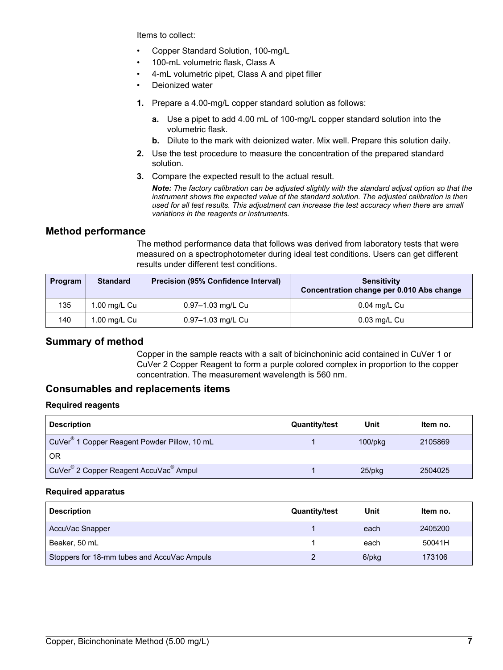Items to collect:

- Copper Standard Solution, 100-mg/L
- 100-mL volumetric flask, Class A
- 4-mL volumetric pipet, Class A and pipet filler
- Deionized water
- **1.** Prepare a 4.00-mg/L copper standard solution as follows:
	- **a.** Use a pipet to add 4.00 mL of 100-mg/L copper standard solution into the volumetric flask.
	- **b.** Dilute to the mark with deionized water. Mix well. Prepare this solution daily.
- **2.** Use the test procedure to measure the concentration of the prepared standard solution.
- **3.** Compare the expected result to the actual result.

*Note: The factory calibration can be adjusted slightly with the standard adjust option so that the instrument shows the expected value of the standard solution. The adjusted calibration is then used for all test results. This adjustment can increase the test accuracy when there are small variations in the reagents or instruments.*

## **Method performance**

The method performance data that follows was derived from laboratory tests that were measured on a spectrophotometer during ideal test conditions. Users can get different results under different test conditions.

<span id="page-6-0"></span>

| Program | <b>Standard</b> | <b>Precision (95% Confidence Interval)</b> | Sensitivity<br>Concentration change per 0.010 Abs change |
|---------|-----------------|--------------------------------------------|----------------------------------------------------------|
| 135     | 1.00 mg/L Cu    | 0.97-1.03 mg/L Cu                          | $0.04$ mg/L Cu                                           |
| 140     | 1.00 mg/L Cu    | 0.97-1.03 mg/L Cu                          | 0.03 mg/L Cu                                             |

## **Summary of method**

Copper in the sample reacts with a salt of bicinchoninic acid contained in CuVer 1 or CuVer 2 Copper Reagent to form a purple colored complex in proportion to the copper concentration. The measurement wavelength is 560 nm.

## **Consumables and replacements items**

## **Required reagents**

| <b>Description</b>                                             | <b>Quantity/test</b> | Unit          | Item no. |
|----------------------------------------------------------------|----------------------|---------------|----------|
| CuVer <sup>®</sup> 1 Copper Reagent Powder Pillow, 10 mL       |                      | $100$ /p $kg$ | 2105869  |
| OR                                                             |                      |               |          |
| CuVer <sup>®</sup> 2 Copper Reagent AccuVac <sup>®</sup> Ampul |                      | $25$ /pkq     | 2504025  |

### **Required apparatus**

| <b>Description</b>                          | <b>Quantity/test</b> | Unit  | Item no. |
|---------------------------------------------|----------------------|-------|----------|
| AccuVac Snapper                             |                      | each  | 2405200  |
| Beaker, 50 mL                               |                      | each  | 50041H   |
| Stoppers for 18-mm tubes and AccuVac Ampuls |                      | 6/pkg | 173106   |